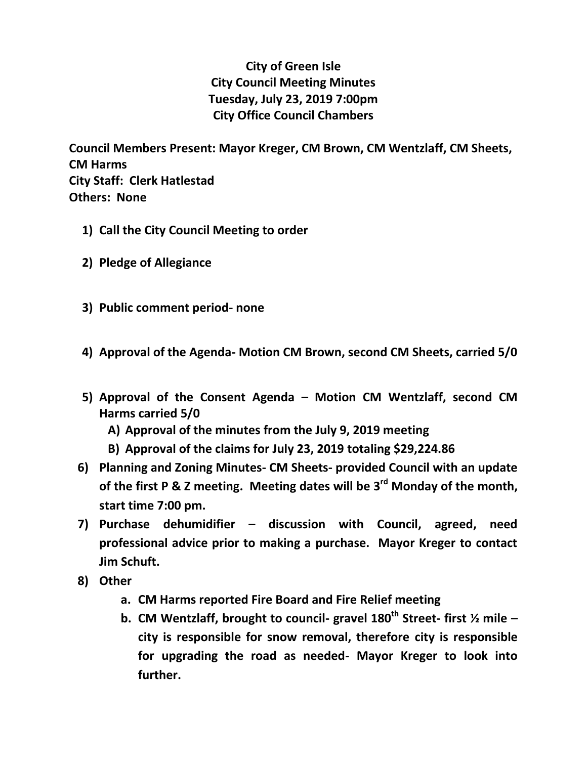## **City of Green Isle City Council Meeting Minutes Tuesday, July 23, 2019 7:00pm City Office Council Chambers**

**Council Members Present: Mayor Kreger, CM Brown, CM Wentzlaff, CM Sheets, CM Harms City Staff: Clerk Hatlestad Others: None**

- **1) Call the City Council Meeting to order**
- **2) Pledge of Allegiance**
- **3) Public comment period- none**
- **4) Approval of the Agenda- Motion CM Brown, second CM Sheets, carried 5/0**
- **5) Approval of the Consent Agenda – Motion CM Wentzlaff, second CM Harms carried 5/0**
	- **A) Approval of the minutes from the July 9, 2019 meeting**
	- **B) Approval of the claims for July 23, 2019 totaling \$29,224.86**
- **6) Planning and Zoning Minutes- CM Sheets- provided Council with an update of the first P & Z meeting. Meeting dates will be 3rd Monday of the month, start time 7:00 pm.**
- **7) Purchase dehumidifier – discussion with Council, agreed, need professional advice prior to making a purchase. Mayor Kreger to contact Jim Schuft.**
- **8) Other**
	- **a. CM Harms reported Fire Board and Fire Relief meeting**
	- **b. CM Wentzlaff, brought to council- gravel 180th Street- first ½ mile – city is responsible for snow removal, therefore city is responsible for upgrading the road as needed- Mayor Kreger to look into further.**